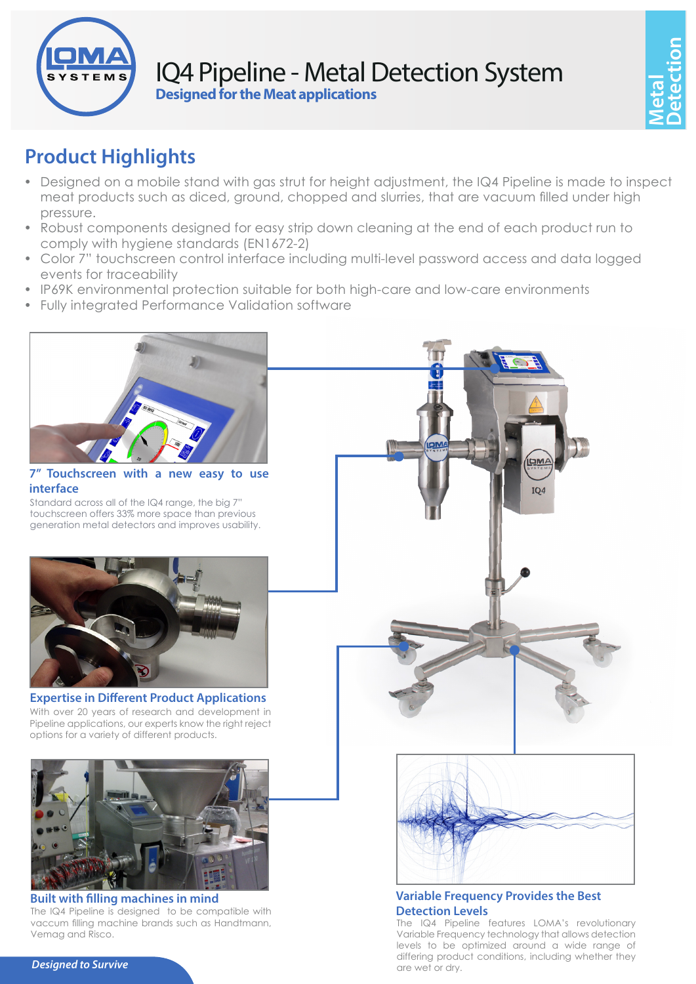

## IQ4 Pipeline - Metal Detection System **Designed for the Meat applications**

# **Product Highlights**

- Designed on a mobile stand with gas strut for height adjustment, the IQ4 Pipeline is made to inspect meat products such as diced, ground, chopped and slurries, that are vacuum filled under high pressure.
- Robust components designed for easy strip down cleaning at the end of each product run to comply with hygiene standards (EN1672-2)
- Color 7" touchscreen control interface including multi-level password access and data logged events for traceability
- IP69K environmental protection suitable for both high-care and low-care environments
- Fully integrated Performance Validation software



#### **7" Touchscreen with a new easy to use interface**

Standard across all of the IQ4 range, the big 7" touchscreen offers 33% more space than previous generation metal detectors and improves usability.



#### **Expertise in Different Product Applications** With over 20 years of research and development in Pipeline applications, our experts know the right reject options for a variety of different products.



#### **Built with filling machines in mind** The IQ4 Pipeline is designed to be compatible with

vaccum filling machine brands such as Handtmann, Vemag and Risco.



### **Variable Frequency Provides the Best Detection Levels**

The IQ4 Pipeline features LOMA's revolutionary Variable Frequency technology that allows detection levels to be optimized around a wide range of differing product conditions, including whether they are wet or dry.